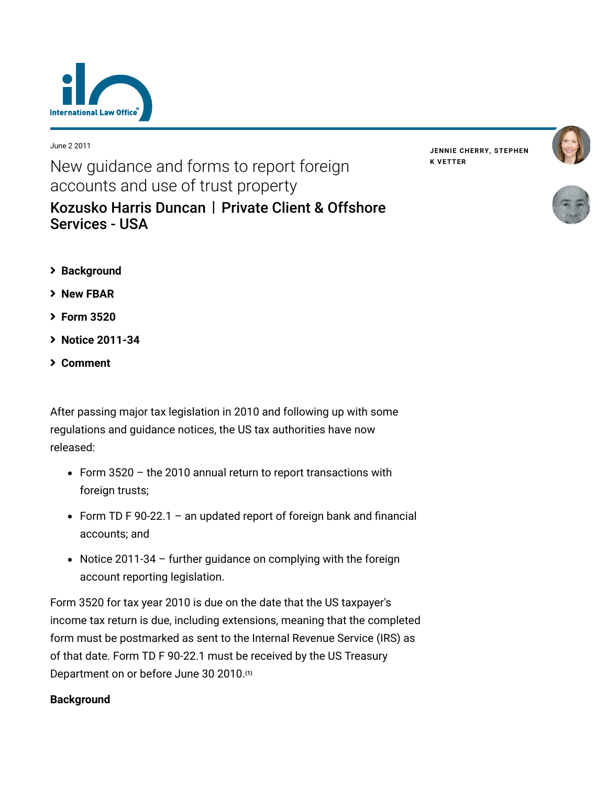

#### June 2 2011

New guidance and forms to report foreign accounts and use of trust property [Kozusko Harris Duncan](https://www.lexology.com/contributors/23364) | Private Client & Offshore Services - USA

**JENNIE [CHERRY,](https://www.lexology.com/23364/author/Jennie_Cherry/) [STEPHEN](https://www.lexology.com/23364/author/Stephen_K_Vetter/) K VETTER**





- **[Background](#page-0-0)**
- **[New FBAR](#page-2-0)**
- **[Form 3520](#page-4-0)**
- **[Notice 2011-34](#page-5-0)**
- **[Comment](#page-6-0)**

After passing major tax legislation in 2010 and following up with some regulations and guidance notices, the US tax authorities have now released:

- Form 3520 the 2010 annual return to report transactions with foreign trusts;
- Form TD F 90-22.1 an updated report of foreign bank and financial accounts; and
- Notice 2011-34 further guidance on complying with the foreign account reporting legislation.

Form 3520 for tax year 2010 is due on the date that the US taxpayer's income tax return is due, including extensions, meaning that the completed form must be postmarked as sent to the Internal Revenue Service (IRS) as of that date. Form TD F 90-22.1 must be received by the US Treasury Department on or before June 30 2010.**[\(1\)](#page-7-0)**

## <span id="page-0-0"></span>**Background**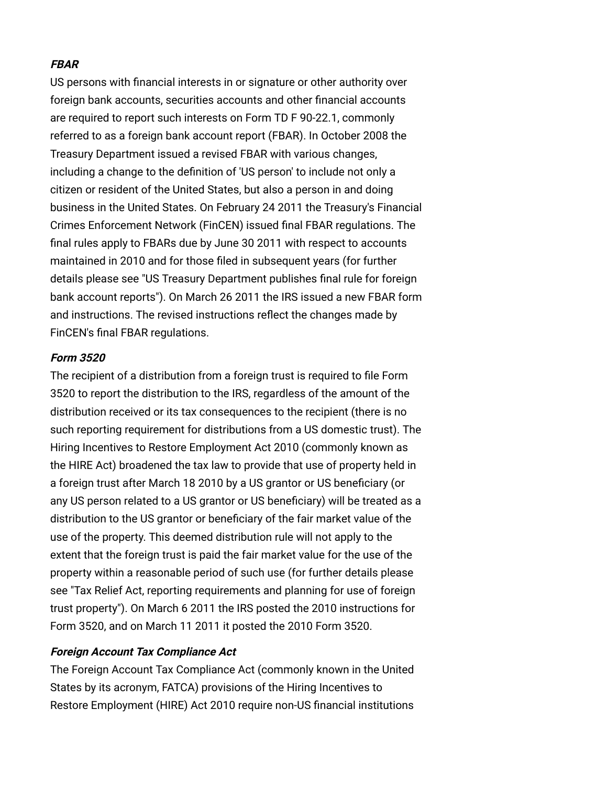## **FBAR**

US persons with financial interests in or signature or other authority over foreign bank accounts, securities accounts and other financial accounts are required to report such interests on Form TD F 90-22.1, commonly referred to as a foreign bank account report (FBAR). In October 2008 the Treasury Department issued a revised FBAR with various changes, including a change to the definition of 'US person' to include not only a citizen or resident of the United States, but also a person in and doing business in the United States. On February 24 2011 the Treasury's Financial Crimes Enforcement Network (FinCEN) issued final FBAR regulations. The final rules apply to FBARs due by June 30 2011 with respect to accounts maintained in 2010 and for those filed in subsequent years (for further details please see "US Treasury Department publishes final rule for foreign [bank account reports"\). On March 26 2011 the IRS issued a new FBAR form](http://www.internationallawoffice.com/newsletters/Detail.aspx?g=509a2063-4740-439a-84cc-b1b0f0547f85) and instructions. The revised instructions reflect the changes made by FinCEN's final FBAR regulations.

### **Form 3520**

The recipient of a distribution from a foreign trust is required to file Form 3520 to report the distribution to the IRS, regardless of the amount of the distribution received or its tax consequences to the recipient (there is no such reporting requirement for distributions from a US domestic trust). The Hiring Incentives to Restore Employment Act 2010 (commonly known as the HIRE Act) broadened the tax law to provide that use of property held in a foreign trust after March 18 2010 by a US grantor or US beneficiary (or any US person related to a US grantor or US beneficiary) will be treated as a distribution to the US grantor or beneficiary of the fair market value of the use of the property. This deemed distribution rule will not apply to the extent that the foreign trust is paid the fair market value for the use of the property within a reasonable period of such use (for further details please [see "Tax Relief Act, reporting requirements and planning for use of foreign](http://www.internationallawoffice.com/newsletters/Detail.aspx?g=3315fb1c-b83d-45a5-95af-ca4f72b678dc) trust property"). On March 6 2011 the IRS posted the 2010 instructions for Form 3520, and on March 11 2011 it posted the 2010 Form 3520.

#### **Foreign Account Tax Compliance Act**

The Foreign Account Tax Compliance Act (commonly known in the United States by its acronym, FATCA) provisions of the Hiring Incentives to Restore Employment (HIRE) Act 2010 require non-US financial institutions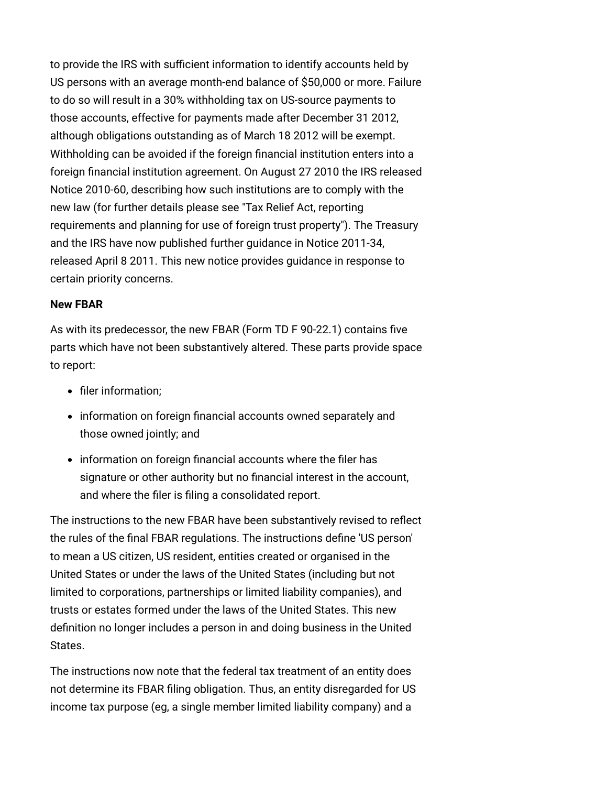to provide the IRS with sufficient information to identify accounts held by US persons with an average month-end balance of \$50,000 or more. Failure to do so will result in a 30% withholding tax on US-source payments to those accounts, effective for payments made after December 31 2012, although obligations outstanding as of March 18 2012 will be exempt. Withholding can be avoided if the foreign financial institution enters into a foreign financial institution agreement. On August 27 2010 the IRS released Notice 2010-60, describing how such institutions are to comply with the [new law \(for further details please see "Tax Relief Act, reporting](http://www.internationallawoffice.com/newsletters/Detail.aspx?g=3315fb1c-b83d-45a5-95af-ca4f72b678dc) requirements and planning for use of foreign trust property"). The Treasury and the IRS have now published further guidance in Notice 2011-34, released April 8 2011. This new notice provides guidance in response to certain priority concerns.

#### <span id="page-2-0"></span>**New FBAR**

As with its predecessor, the new FBAR (Form TD F 90-22.1) contains five parts which have not been substantively altered. These parts provide space to report:

- filer information:
- information on foreign financial accounts owned separately and those owned jointly; and
- information on foreign financial accounts where the filer has signature or other authority but no financial interest in the account, and where the filer is filing a consolidated report.

The instructions to the new FBAR have been substantively revised to reflect the rules of the final FBAR regulations. The instructions define 'US person' to mean a US citizen, US resident, entities created or organised in the United States or under the laws of the United States (including but not limited to corporations, partnerships or limited liability companies), and trusts or estates formed under the laws of the United States. This new definition no longer includes a person in and doing business in the United States.

The instructions now note that the federal tax treatment of an entity does not determine its FBAR filing obligation. Thus, an entity disregarded for US income tax purpose (eg, a single member limited liability company) and a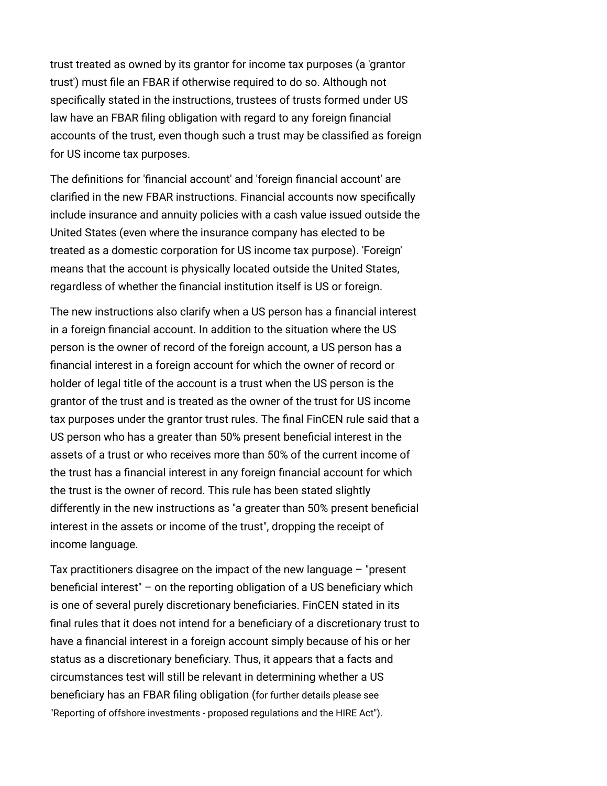trust treated as owned by its grantor for income tax purposes (a 'grantor trust') must file an FBAR if otherwise required to do so. Although not specifically stated in the instructions, trustees of trusts formed under US law have an FBAR filing obligation with regard to any foreign financial accounts of the trust, even though such a trust may be classified as foreign for US income tax purposes.

The definitions for 'financial account' and 'foreign financial account' are clarified in the new FBAR instructions. Financial accounts now specifically include insurance and annuity policies with a cash value issued outside the United States (even where the insurance company has elected to be treated as a domestic corporation for US income tax purpose). 'Foreign' means that the account is physically located outside the United States, regardless of whether the financial institution itself is US or foreign.

The new instructions also clarify when a US person has a financial interest in a foreign financial account. In addition to the situation where the US person is the owner of record of the foreign account, a US person has a financial interest in a foreign account for which the owner of record or holder of legal title of the account is a trust when the US person is the grantor of the trust and is treated as the owner of the trust for US income tax purposes under the grantor trust rules. The final FinCEN rule said that a US person who has a greater than 50% present beneficial interest in the assets of a trust or who receives more than 50% of the current income of the trust has a financial interest in any foreign financial account for which the trust is the owner of record. This rule has been stated slightly differently in the new instructions as "a greater than 50% present beneficial interest in the assets or income of the trust", dropping the receipt of income language.

Tax practitioners disagree on the impact of the new language – "present beneficial interest" – on the reporting obligation of a US beneficiary which is one of several purely discretionary beneficiaries. FinCEN stated in its final rules that it does not intend for a beneficiary of a discretionary trust to have a financial interest in a foreign account simply because of his or her status as a discretionary beneficiary. Thus, it appears that a facts and circumstances test will still be relevant in determining whether a US beneficiary has an FBAR filing obligation (for further details please see "[Reporting of offshore investments - proposed regulations and the HIRE Act](http://www.internationallawoffice.com/newsletters/Detail.aspx?g=8ef13c29-ba12-4824-85ab-bde320468b1d)").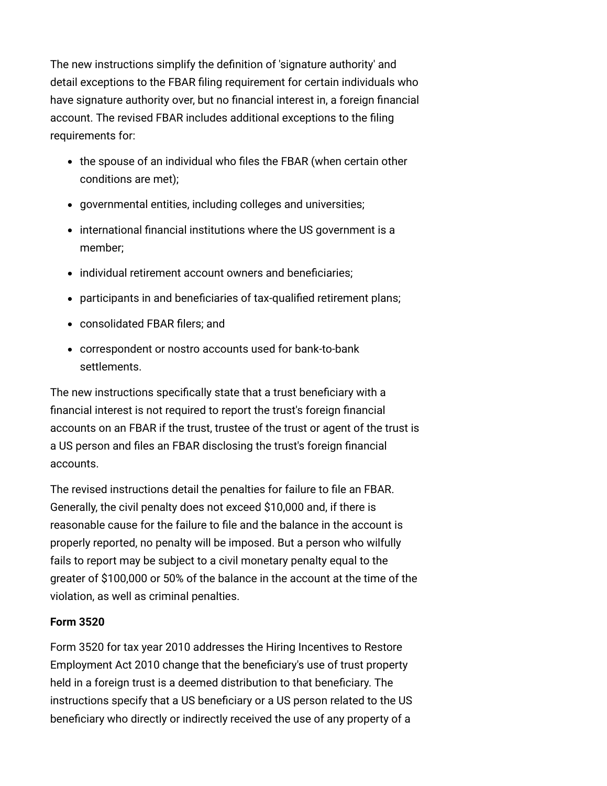The new instructions simplify the definition of 'signature authority' and detail exceptions to the FBAR filing requirement for certain individuals who have signature authority over, but no financial interest in, a foreign financial account. The revised FBAR includes additional exceptions to the filing requirements for:

- the spouse of an individual who files the FBAR (when certain other conditions are met);
- governmental entities, including colleges and universities;
- international financial institutions where the US government is a member;
- individual retirement account owners and beneficiaries:
- participants in and beneficiaries of tax-qualified retirement plans;
- consolidated FBAR filers; and
- correspondent or nostro accounts used for bank-to-bank settlements.

The new instructions specifically state that a trust beneficiary with a financial interest is not required to report the trust's foreign financial accounts on an FBAR if the trust, trustee of the trust or agent of the trust is a US person and files an FBAR disclosing the trust's foreign financial accounts.

The revised instructions detail the penalties for failure to file an FBAR. Generally, the civil penalty does not exceed \$10,000 and, if there is reasonable cause for the failure to file and the balance in the account is properly reported, no penalty will be imposed. But a person who wilfully fails to report may be subject to a civil monetary penalty equal to the greater of \$100,000 or 50% of the balance in the account at the time of the violation, as well as criminal penalties.

## <span id="page-4-0"></span>**Form 3520**

Form 3520 for tax year 2010 addresses the Hiring Incentives to Restore Employment Act 2010 change that the beneficiary's use of trust property held in a foreign trust is a deemed distribution to that beneficiary. The instructions specify that a US beneficiary or a US person related to the US beneficiary who directly or indirectly received the use of any property of a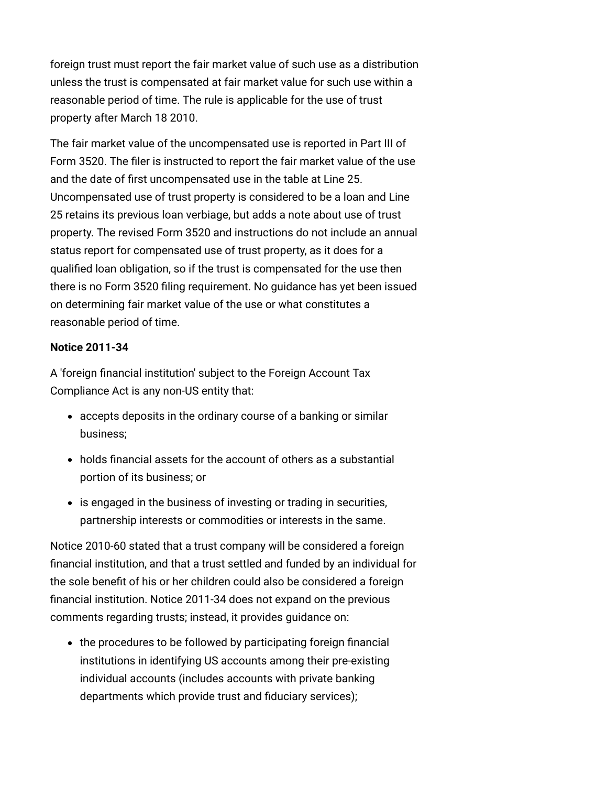foreign trust must report the fair market value of such use as a distribution unless the trust is compensated at fair market value for such use within a reasonable period of time. The rule is applicable for the use of trust property after March 18 2010.

The fair market value of the uncompensated use is reported in Part III of Form 3520. The filer is instructed to report the fair market value of the use and the date of first uncompensated use in the table at Line 25. Uncompensated use of trust property is considered to be a loan and Line 25 retains its previous loan verbiage, but adds a note about use of trust property. The revised Form 3520 and instructions do not include an annual status report for compensated use of trust property, as it does for a qualified loan obligation, so if the trust is compensated for the use then there is no Form 3520 filing requirement. No guidance has yet been issued on determining fair market value of the use or what constitutes a reasonable period of time.

## <span id="page-5-0"></span>**Notice 2011-34**

A 'foreign financial institution' subject to the Foreign Account Tax Compliance Act is any non-US entity that:

- accepts deposits in the ordinary course of a banking or similar business;
- holds financial assets for the account of others as a substantial portion of its business; or
- is engaged in the business of investing or trading in securities, partnership interests or commodities or interests in the same.

Notice 2010-60 stated that a trust company will be considered a foreign financial institution, and that a trust settled and funded by an individual for the sole benefit of his or her children could also be considered a foreign financial institution. Notice 2011-34 does not expand on the previous comments regarding trusts; instead, it provides guidance on:

• the procedures to be followed by participating foreign financial institutions in identifying US accounts among their pre-existing individual accounts (includes accounts with private banking departments which provide trust and fiduciary services);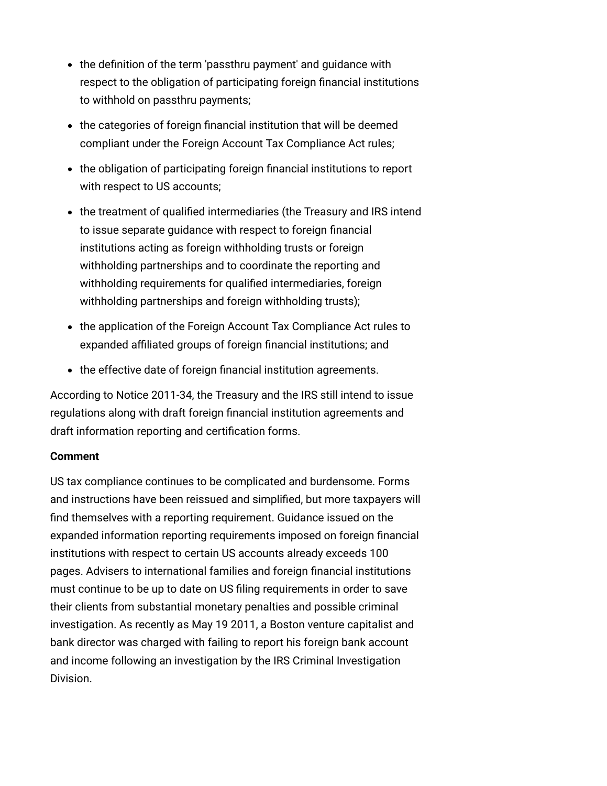- the definition of the term 'passthru payment' and guidance with respect to the obligation of participating foreign financial institutions to withhold on passthru payments;
- the categories of foreign financial institution that will be deemed compliant under the Foreign Account Tax Compliance Act rules;
- the obligation of participating foreign financial institutions to report with respect to US accounts;
- the treatment of qualified intermediaries (the Treasury and IRS intend to issue separate guidance with respect to foreign financial institutions acting as foreign withholding trusts or foreign withholding partnerships and to coordinate the reporting and withholding requirements for qualified intermediaries, foreign withholding partnerships and foreign withholding trusts);
- the application of the Foreign Account Tax Compliance Act rules to expanded affiliated groups of foreign financial institutions; and
- the effective date of foreign financial institution agreements.

According to Notice 2011-34, the Treasury and the IRS still intend to issue regulations along with draft foreign financial institution agreements and draft information reporting and certification forms.

## <span id="page-6-0"></span>**Comment**

US tax compliance continues to be complicated and burdensome. Forms and instructions have been reissued and simplified, but more taxpayers will find themselves with a reporting requirement. Guidance issued on the expanded information reporting requirements imposed on foreign financial institutions with respect to certain US accounts already exceeds 100 pages. Advisers to international families and foreign financial institutions must continue to be up to date on US filing requirements in order to save their clients from substantial monetary penalties and possible criminal investigation. As recently as May 19 2011, a Boston venture capitalist and bank director was charged with failing to report his foreign bank account and income following an investigation by the IRS Criminal Investigation Division.